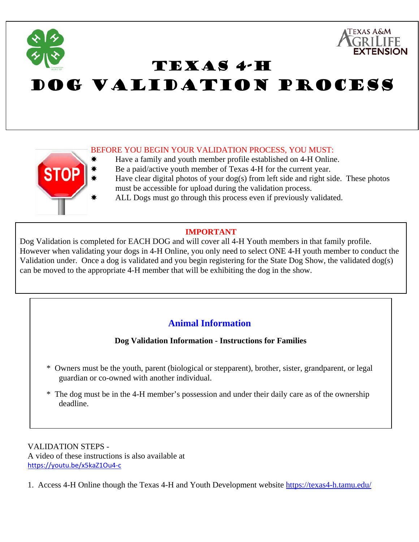

TEXAS 4-H

## DOG VALIDATION PROCESS

## BEFORE YOU BEGIN YOUR VALIDATION PROCESS, YOU MUST:

- Have a family and youth member profile established on 4-H Online.
- Be a paid/active youth member of Texas 4-H for the current year.
	- Have clear digital photos of your  $\log(s)$  from left side and right side. These photos must be accessible for upload during the validation process.
	- ALL Dogs must go through this process even if previously validated.

## **IMPORTANT**

Dog Validation is completed for EACH DOG and will cover all 4-H Youth members in that family profile. However when validating your dogs in 4-H Online, you only need to select ONE 4-H youth member to conduct the Validation under. Once a dog is validated and you begin registering for the State Dog Show, the validated dog(s) can be moved to the appropriate 4-H member that will be exhibiting the dog in the show.

## **Animal Information**

**Dog Validation Information - Instructions for Families**

- \* Owners must be the youth, parent (biological or stepparent), brother, sister, grandparent, or legal guardian or co-owned with another individual.
- \* The dog must be in the 4-H member's possession and under their daily care as of the ownership deadline.

VALIDATION STEPS - A video of these instructions is also available at https://youtu.be/x5kaZ1Ou4‐c

**STC** 

1. Access 4-H Online though the Texas 4-H and Youth Development website https://texas4-h.tamu.edu/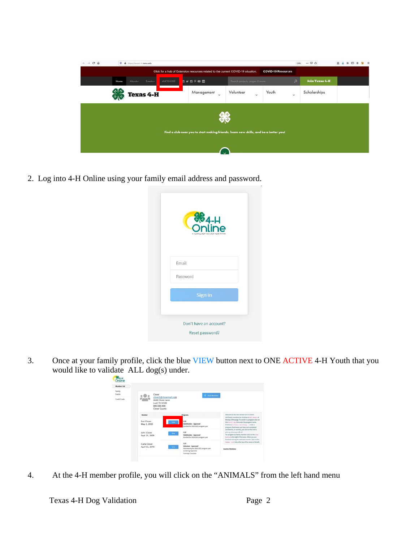| $C^*$ $\Omega$<br>$\rightarrow$ |              | O & https://teras4-h.tamuedu |                  |                 |                                                                                      |                               |                           | 120%         | $\cdots \; \boxdot \; \Omega \; \; \dot{\Omega}$ | 立业<br>$\mathbb{R}$ $\Box$ | (4 日<br>O. |
|---------------------------------|--------------|------------------------------|------------------|-----------------|--------------------------------------------------------------------------------------|-------------------------------|---------------------------|--------------|--------------------------------------------------|---------------------------|------------|
|                                 |              |                              |                  |                 | Click for a hub of Extension resources related to the current COVID-19 situation.    |                               | <b>COVID-19 Resources</b> |              |                                                  |                           |            |
|                                 | Home         | About                        | Eventsv          | <b>4HONLINE</b> | <b>BOOD BOO</b>                                                                      | Search projects, pages & more |                           | $\mathsf{p}$ | <b>Join Texas 4-H</b>                            |                           |            |
|                                 | $86 -$<br>多心 |                              | <b>Texas 4-H</b> |                 | Management<br>$\mathcal{A}$                                                          | Volunteer<br>v                | Youth                     | ×            | Scholarships                                     |                           |            |
|                                 |              |                              |                  |                 |                                                                                      | ₩                             |                           |              |                                                  |                           |            |
|                                 |              |                              |                  |                 | Find a club near you to start making friends, learn new skills, and be a better you! |                               |                           |              |                                                  |                           |            |
|                                 |              |                              |                  |                 |                                                                                      |                               |                           |              |                                                  |                           |            |

2. Log into 4-H Online using your family email address and password.

| <b>SE4-H</b>                        |  |
|-------------------------------------|--|
| MENT AND EVENT REGISTRATION<br>EMRO |  |
| Email                               |  |
| Password                            |  |
| Sign in                             |  |
|                                     |  |
|                                     |  |

3. Once at your family profile, click the blue VIEW button next to ONE ACTIVE 4-H Youth that you would like to validate ALL dog(s) under.

| miller the |                                                                                              |                                                                                |                                                                                                                                                                                                                                                                  |
|------------|----------------------------------------------------------------------------------------------|--------------------------------------------------------------------------------|------------------------------------------------------------------------------------------------------------------------------------------------------------------------------------------------------------------------------------------------------------------|
| wints.     | Clover                                                                                       | <b>C Add Munder</b>                                                            |                                                                                                                                                                                                                                                                  |
| will Cards | clover1@clovermail.com<br>4444 Clover Lane<br>Leaf, TX 12345<br>000-000-000<br>Clover County |                                                                                |                                                                                                                                                                                                                                                                  |
|            |                                                                                              | Programs                                                                       | Welcome to the new version of A.H. Dollars'<br>Add family mambers by clicking an airc russian at                                                                                                                                                                 |
|            | Sue Clover<br>May 1, 2010                                                                    | 4.33<br>Childhonber - Approved<br>Enrolled for 2020-2021 program year          | the top of this page. To annull in a program click on<br>the invitit multik under the program name.<br>Ritsbretchethus Invaling under a<br>program, that means you have not completed                                                                            |
|            | John Cloyer<br>Sept 25, 2009                                                                 | 4.11<br>$\sim$<br>ClubMomber - Approved<br>fineshed for 2020-2021 program year | anywherant, no seconds, just chi's perthe british.<br>preh ago infrarre pour left coff.<br>To navigate to a family mention click on the itiou-<br>fluct true for the right of the manus. Milter your are-<br>Britished alereing the selected member click on the |
|            | Carla Cloyer<br>April 15, 2070                                                               | 4.98<br>Volunteer Approved<br>œ                                                | Instead 1.1 of this of the big of the monotor to the left.                                                                                                                                                                                                       |

4. At the 4-H member profile, you will click on the "ANIMALS" from the left hand menu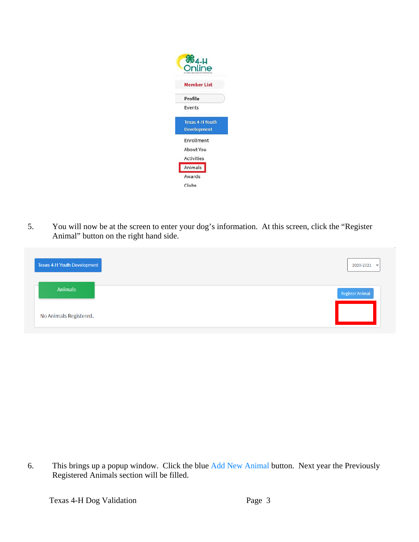

5. You will now be at the screen to enter your dog's information. At this screen, click the "Register Animal" button on the right hand side.

| <b>Texas 4-H Youth Development</b> | 2020-2021 $\sim$ |
|------------------------------------|------------------|
| <b>Animals</b>                     | Register Animal  |
| No Animals Registered.             |                  |

6. This brings up a popup window. Click the blue Add New Animal button. Next year the Previously Registered Animals section will be filled.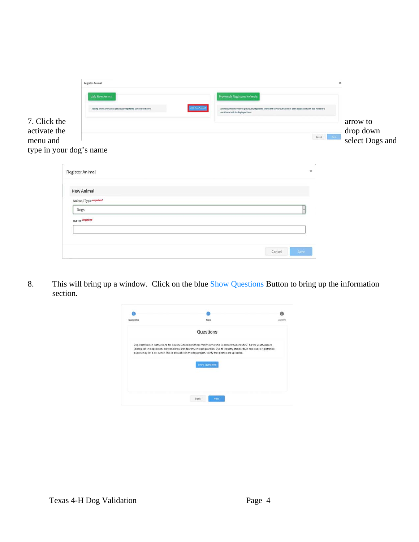|                                     | Register Animal                                                 |                                                                                                                                                                         | ×                                                                                                                                                                                                                                                                                                                                                                                                                                                                                                                      |
|-------------------------------------|-----------------------------------------------------------------|-------------------------------------------------------------------------------------------------------------------------------------------------------------------------|------------------------------------------------------------------------------------------------------------------------------------------------------------------------------------------------------------------------------------------------------------------------------------------------------------------------------------------------------------------------------------------------------------------------------------------------------------------------------------------------------------------------|
|                                     | <b>Add New Animal</b>                                           | <b>Previously Registered Animals</b>                                                                                                                                    |                                                                                                                                                                                                                                                                                                                                                                                                                                                                                                                        |
|                                     | Adding a new animal not previously registered can be done here. | Add New Animal<br>Animals which have been previously registered within the family but have not been associated with this member's<br>enrollment will be displayed here. |                                                                                                                                                                                                                                                                                                                                                                                                                                                                                                                        |
| 7. Click the                        |                                                                 |                                                                                                                                                                         | arrow to                                                                                                                                                                                                                                                                                                                                                                                                                                                                                                               |
| activate the                        |                                                                 |                                                                                                                                                                         | drop down<br>select Dogs and<br>$\begin{tabular}{ c c c c c } \hline \multicolumn{3}{ c }{\textbf{Card}} & \multicolumn{3}{ c }{\textbf{Card}} \\ \hline \multicolumn{3}{ c }{\textbf{Card}} & \multicolumn{3}{ c }{\textbf{Card}} \\ \hline \multicolumn{3}{ c }{\textbf{Card}} & \multicolumn{3}{ c }{\textbf{Card}} \\ \hline \multicolumn{3}{ c }{\textbf{Card}} & \multicolumn{3}{ c }{\textbf{Card}} \\ \hline \multicolumn{3}{ c }{\textbf{Card}} & \multicolumn{3}{ c }{\textbf{Card}} \\ \hline \multicolumn$ |
| menu and<br>type in your dog's name |                                                                 |                                                                                                                                                                         |                                                                                                                                                                                                                                                                                                                                                                                                                                                                                                                        |
|                                     |                                                                 |                                                                                                                                                                         |                                                                                                                                                                                                                                                                                                                                                                                                                                                                                                                        |
|                                     | Register Animal                                                 | $\times$                                                                                                                                                                |                                                                                                                                                                                                                                                                                                                                                                                                                                                                                                                        |
|                                     | New Animal                                                      |                                                                                                                                                                         |                                                                                                                                                                                                                                                                                                                                                                                                                                                                                                                        |
|                                     | Animal Type required                                            |                                                                                                                                                                         |                                                                                                                                                                                                                                                                                                                                                                                                                                                                                                                        |
|                                     | Dogs                                                            |                                                                                                                                                                         |                                                                                                                                                                                                                                                                                                                                                                                                                                                                                                                        |
|                                     | name required                                                   |                                                                                                                                                                         |                                                                                                                                                                                                                                                                                                                                                                                                                                                                                                                        |
|                                     |                                                                 |                                                                                                                                                                         |                                                                                                                                                                                                                                                                                                                                                                                                                                                                                                                        |
|                                     |                                                                 |                                                                                                                                                                         |                                                                                                                                                                                                                                                                                                                                                                                                                                                                                                                        |

8. This will bring up a window. Click on the blue Show Questions Button to bring up the information section.

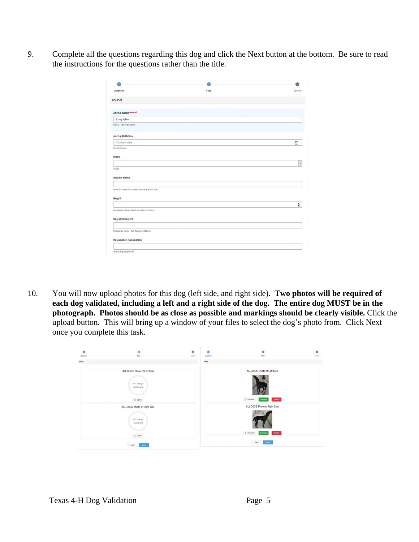9. Complete all the questions regarding this dog and click the Next button at the bottom. Be sure to read the instructions for the questions rather than the title.

| ഒ                                                 |       | Q       |
|---------------------------------------------------|-------|---------|
| Questions                                         | Files | Confirm |
| Animal                                            |       |         |
| Animal Name report                                |       |         |
| Suzay QTee                                        |       |         |
| Name - Call/Nick Name                             |       |         |
| Animal Birthdate                                  |       |         |
| Choose a date                                     |       | ä       |
| Dog Birthdate                                     |       |         |
| Breed                                             |       |         |
|                                                   |       | v       |
| Group                                             |       |         |
| <b>Breeder Name</b>                               |       |         |
| Breed (if mixed, list breeds. Example: Boxer Mix) |       |         |
| Height                                            |       |         |
|                                                   |       | h       |
| Dog Height - Dog's height at withers (inches)     |       |         |
| Registered Name                                   |       |         |
|                                                   |       |         |
| Registered Name - Full Registered Name            |       |         |
| Registration Association                          |       |         |
|                                                   |       |         |

10. You will now upload photos for this dog (left side, and right side). **Two photos will be required of each dog validated, including a left and a right side of the dog. The entire dog MUST be in the photograph. Photos should be as close as possible and markings should be clearly visible.** Click the upload button. This will bring up a window of your files to select the dog's photo from. Click Next once you complete this task.